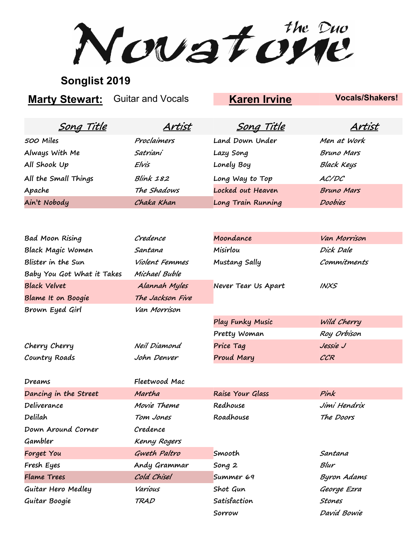Novatone

## **Songlist 2019**

**Marty Stewart:** Guitar and Vocals **Karen Irvine Vocals/Shakers!** 

| Land Down Under<br>Proclaimers<br>500 Miles<br>Men at Work<br>Always With Me<br>Satriani<br>Bruno Mars<br>Lazy Song<br>All Shook Up<br>Lonely Boy<br><b>Black Keys</b><br>Elvis<br>All the Small Things<br>Long Way to Top<br><b>Blink 182</b><br>AC/DC |
|---------------------------------------------------------------------------------------------------------------------------------------------------------------------------------------------------------------------------------------------------------|
|                                                                                                                                                                                                                                                         |
|                                                                                                                                                                                                                                                         |
|                                                                                                                                                                                                                                                         |
|                                                                                                                                                                                                                                                         |
| Locked out Heaven<br>The Shadows<br>Apache<br><b>Bruno Mars</b>                                                                                                                                                                                         |
| Long Train Running<br>Ain't Nobody<br>Chaka Khan<br>Doobies                                                                                                                                                                                             |

| <b>Bad Moon Rising</b>     | Credence         | Moondance           | Van Morrison |
|----------------------------|------------------|---------------------|--------------|
| <b>Black Magic Women</b>   | Santana          | Misirlou            | Dick Dale    |
| Blister in the Sun         | Violent Femmes   | Mustang Sally       | Commitments  |
| Baby You Got What it Takes | Michael Buble    |                     |              |
| <b>Black Velvet</b>        | Alannah Myles    | Never Tear Us Apart | <b>INXS</b>  |
| Blame It on Boogie         | The Jackson Five |                     |              |
| Brown Eyed Girl            | Van Morrison     |                     |              |
|                            |                  | Play Funky Music    | Wild Cherry  |
|                            |                  | Pretty Woman        | Roy Orbison  |
| Cherry Cherry              | Neil Diamond     | Price Tag           | Jessie J     |
| Country Roads              | John Denver      | Proud Mary          | CCR          |
|                            |                  |                     |              |
| Dreams                     | Fleetwood Mac    |                     |              |
| Dancing in the Street      | Martha           | Raise Your Glass    | Pink         |
| Deliverance                | Movie Theme      | Redhouse            | Jimi Hendrix |
| Delilah                    | Tom Jones        | Roadhouse           | The Doors    |
| Down Around Corner         | Credence         |                     |              |
| Gambler                    | Kenny Rogers     |                     |              |
| Forget You                 | Gweth Paltro     | Smooth              | Santana      |
| Fresh Eyes                 | Andy Grammar     | Song 2              | Blur         |
| <b>Flame Trees</b>         | Cold Chisel      | Summer 69           | Byron Adams  |
| Guitar Hero Medley         | Various          | Shot Gun            | George Ezra  |
| Guitar Boogie              | <b>TRAD</b>      | Satisfaction        | Stones       |
|                            |                  | Sorrow              | David Bowie  |
|                            |                  |                     |              |